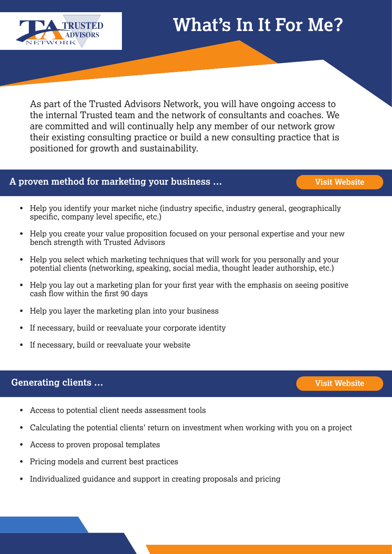

As part of the Trusted Advisors Network, you will have ongoing access to the internal Trusted team and the network of consultants and coaches. We are committed and will continually help any member of our network grow their existing consulting practice or build a new consulting practice that is positioned for growth and sustainability.

# **A proven method for marketing your business …**

- Help you identify your market niche (industry specific, industry general, geographically specific, company level specific, etc.)
- Help you create your value proposition focused on your personal expertise and your new bench strength with Trusted Advisors •
- Help you select which marketing techniques that will work for you personally and your potential clients (networking, speaking, social media, thought leader authorship, etc.) •
- Help you lay out a marketing plan for your first year with the emphasis on seeing positive cash flow within the first 90 days
- Help you layer the marketing plan into your business •
- If necessary, build or reevaluate your corporate identity •
- If necessary, build or reevaluate your website

### **Generating clients …**

- Access to potential client needs assessment tools •
- Calculating the potential clients' return on investment when working with you on a project
- Access to proven proposal templates •
- Pricing models and current best practices •
- Individualized guidance and support in creating proposals and pricing •

**[Visit Website](https://trustedadvisorsnetworkllc.com/generating-clients/)**

**[Visit Website](https://trustedadvisorsnetworkllc.com/why-partner/)**